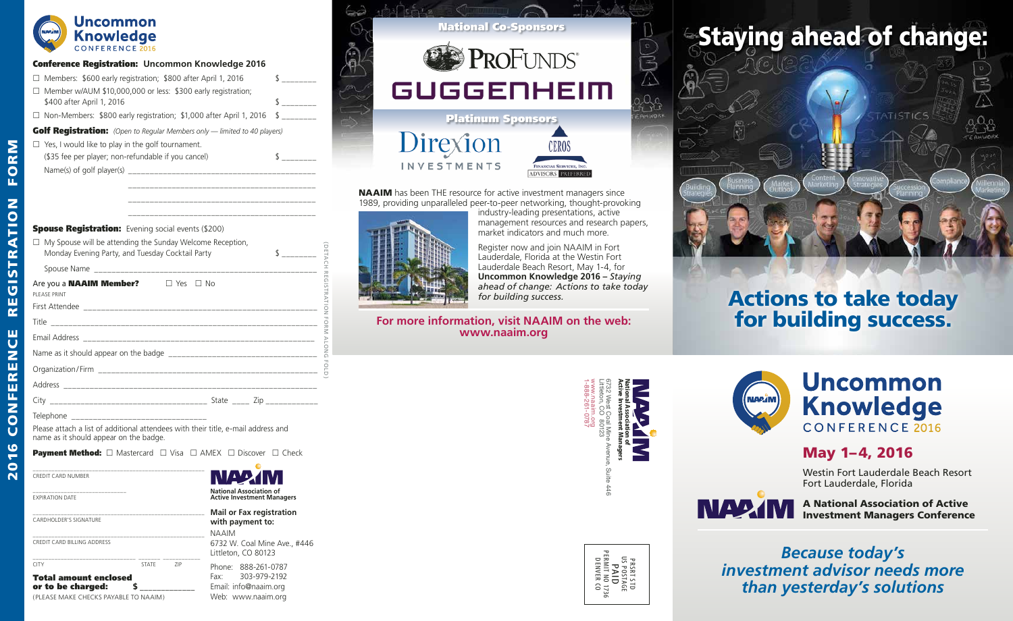| <b>Uncommon</b><br><b>Knowledge</b> |
|-------------------------------------|
| <b>CONFERENCE 2016</b>              |

### Conference Registration: **Uncommon Knowledge 2016**

|  | $\Box$ Members: \$600 early registration; \$800 after April 1, 2016 |  |
|--|---------------------------------------------------------------------|--|
|  |                                                                     |  |

| $\Box$ Member w/AUM \$10,000,000 or less: \$300 early registration; |  |
|---------------------------------------------------------------------|--|
| \$400 after April 1, 2016                                           |  |

 $\Box$  Non-Members: \$800 early registration; \$1,000 after April 1, 2016 \$

Golf Registration: *(Open to Regular Members only — limited to 40 players)*

 $\square$  Yes, I would like to play in the golf tournament. (\$35 fee per player; non-refundable if you cancel) Name $(s)$  of golf player $(s)$ 

| <b>Spouse Registration:</b> Evening social events (\$200)           |  |  |
|---------------------------------------------------------------------|--|--|
| $\Box$ Mu Canusa will be etteredige the Cunday Melganea Description |  |  |

| $\Box$ TVIV Spouse will be attending the sunday velicome Reception,<br>Monday Evening Party, and Tuesday Cocktail Party | $\widehat{\sigma}$<br>ETA<br>$\frac{1}{2}$ |
|-------------------------------------------------------------------------------------------------------------------------|--------------------------------------------|
|                                                                                                                         | 오<br>$\Box$                                |
| Are you a <b>NAAIM Member?</b> □ Yes □ No<br>PLEASE PRINT                                                               | ഹ<br>$\frac{1}{2}$                         |
|                                                                                                                         | <b>RATION</b>                              |
|                                                                                                                         | <b>FORM</b>                                |
|                                                                                                                         |                                            |
|                                                                                                                         | ALONG                                      |
|                                                                                                                         | $rac{1}{\sqrt{1}}$                         |
|                                                                                                                         |                                            |
|                                                                                                                         |                                            |
|                                                                                                                         |                                            |

 $\overline{\mathbf{z}}$  $\overline{\mathbf{r}}$ 

> Please attach a list of additional attendees with their title, e-mail address and name as it should appear on the badge.

**Payment Method:**  $\Box$  Mastercard  $\Box$  Visa  $\Box$  AMEX  $\Box$  Discover  $\Box$  Check

| <b>CREDIT CARD NUMBER</b> |
|---------------------------|
| <b>EXPIRATION DATE</b>    |

| <b>CARDHOLDER'S SIGNATURE</b>                     |              |     |  |
|---------------------------------------------------|--------------|-----|--|
| <b>CREDIT CARD BILLING ADDRESS</b>                |              |     |  |
| <b>CITY</b>                                       | <b>STATE</b> | 71P |  |
| <b>Total amount enclosed</b><br>or to be charged: |              |     |  |
| (PLEASE MAKE CHECKS PAYABLE TO NAAIM)             |              |     |  |

**Mail or Fax registration with payment to:** NAAIM

6732 W. Coal Mine Ave., #446 Littleton, CO 80123

Phone: 888-261-0787 Fax: 303-979-2192 Email: info@naaim.org Web: www.naaim.org

# **Staying ahead of change:**







## **Uncommon Knowledge** CONFERENCE 2016

NAAIM has been THE resource for active investment managers since 1989, providing unparalleled peer-to-peer networking, thought-provoking



industry-leading presentations, active management resources and research papers, market indicators and much more.

Register now and join NAAIM in Fort Lauderdale, Florida at the Westin Fort Lauderdale Beach Resort, May 1-4, for **Uncommon Knowledge 2016 –** *Staying ahead of change: Actions to take today for building success.*

**For more information, visit NAAIM on the web: www.naaim.org**

## May 1–4, 2016

Westin Fort Lauderdale Beach Resort Fort Lauderdale, Florida



A National Association of Active Investment Managers Conference

## *Because today's investment advisor needs more than yesterday's solutions*

| 1-888-261-0787<br>www.naaim.org<br>Littleton, CO 80123<br>6732 West Coal Mine Avenue, Suite 446 |
|-------------------------------------------------------------------------------------------------|
|-------------------------------------------------------------------------------------------------|



| <b>National Co-Sponsors</b> |                                                    |
|-----------------------------|----------------------------------------------------|
|                             | PROFUNDS®                                          |
| <b>GUGGENHEIM</b>           |                                                    |
| <b>Platinum Sponsors</b>    |                                                    |
| Direxion                    | CEROS                                              |
| <b>INVESTMENTS</b>          | FINANCIAL SERVICES, INC.<br><b>ADVISORS PREFER</b> |